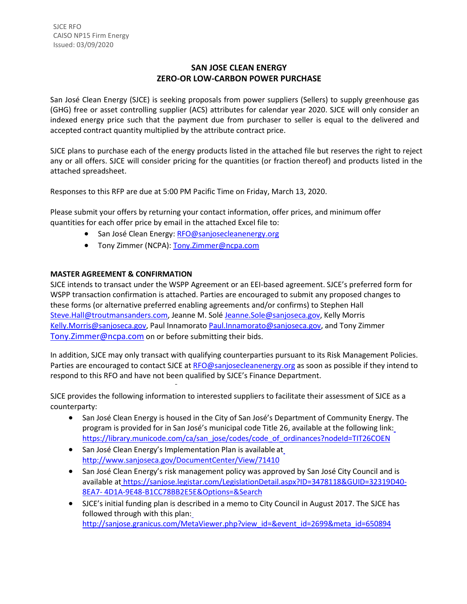## **SAN JOSE CLEAN ENERGY ZERO-OR LOW-CARBON POWER PURCHASE**

San José Clean Energy (SJCE) is seeking proposals from power suppliers (Sellers) to supply greenhouse gas (GHG) free or asset controlling supplier (ACS) attributes for calendar year 2020. SJCE will only consider an indexed energy price such that the payment due from purchaser to seller is equal to the delivered and accepted contract quantity multiplied by the attribute contract price.

SJCE plans to purchase each of the energy products listed in the attached file but reserves the right to reject any or all offers. SJCE will consider pricing for the quantities (or fraction thereof) and products listed in the attached spreadsheet.

Responses to this RFP are due at 5:00 PM Pacific Time on Friday, March 13, 2020.

Please submit your offers by returning your contact information, offer prices, and minimum offer quantities for each offer price by email in the attached Excel file to:

- San José Clean Energy: [RFO@sanjosecleanenergy.org](mailto:RFO@sanjosecleanenergy.org)
- Tony Zimmer (NCPA): [Tony.Zimmer@ncpa.com](mailto:Tony.Zimmer@ncpa.com)

## **MASTER AGREEMENT & CONFIRMATION**

SJCE intends to transact under the WSPP Agreement or an EEI-based agreement. SJCE's preferred form for WSPP transaction confirmation is attached. Parties are encouraged to submit any proposed changes to these forms (or alternative preferred enabling agreements and/or confirms) to Stephen Hall [Steve.Hall@troutmansanders.com, J](mailto:Steve.Hall@troutmansanders.com)eanne M. Solé [Jeanne.Sole@sanjoseca.gov,](mailto:Jeanne.Sole@sanjoseca.gov) Kelly Morris [Kelly.Morris@sanjoseca.gov,](mailto:Kelly.Morris@sanjoseca.gov) Paul Innamorato [Paul.Innamorato@sanjoseca.gov,](mailto:Paul.Innamorato@sanjoseca.gov) and Tony Zimmer [Tony.Zimmer@ncpa.com](mailto:Tony.Zimmer@ncpa.com) on or before submitting their bids.

In addition, SJCE may only transact with qualifying counterparties pursuant to its Risk Management Policies. Parties are encouraged to contact SJCE at [RFO@sanjosecleanenergy.org](mailto:RFO@sanjosecleanenergy.org) as soon as possible if they intend to respond to this RFO and have not been qualified by SJCE's Finance Department.

SJCE provides the following information to interested suppliers to facilitate their assessment of SJCE as a counterparty:

- San José Clean Energy is housed in the City of San José's Department of Community Energy. The program is provided for in San José's municipal code Title 26, available at the following link: [https://library.municode.com/ca/san\\_jose/codes/code\\_of\\_ordinances?nodeId=TIT26COEN](https://library.municode.com/ca/san_jose/codes/code_of_ordinances?nodeId=TIT26COEN)
- San José Clean Energy's Implementation Plan is available a[t](http://www.sanjoseca.gov/DocumentCenter/View/71410) <http://www.sanjoseca.gov/DocumentCenter/View/71410>
- San José Clean Energy's risk management policy was approved by San José City Council and is available at [https://sanjose.legistar.com/LegislationDetail.aspx?ID=3478118&GUID=32319D40-](https://sanjose.legistar.com/LegislationDetail.aspx?ID=3478118&GUID=32319D40-8EA7-4D1A-9E48-B1CC78BB2E5E&Options&Search) [8EA7-](https://sanjose.legistar.com/LegislationDetail.aspx?ID=3478118&GUID=32319D40-8EA7-4D1A-9E48-B1CC78BB2E5E&Options&Search) [4D1A-9E48-B1CC78BB2E5E&Options=&Search](https://sanjose.legistar.com/LegislationDetail.aspx?ID=3478118&GUID=32319D40-8EA7-4D1A-9E48-B1CC78BB2E5E&Options&Search)
- SJCE's initial funding plan is described in a memo to City Council in August 2017. The SJCE has followed through with this plan: [http://sanjose.granicus.com/MetaViewer.php?view\\_id=&event\\_id=2699&meta\\_id=650894](http://sanjose.granicus.com/MetaViewer.php?view_id&event_id=2699&meta_id=650894)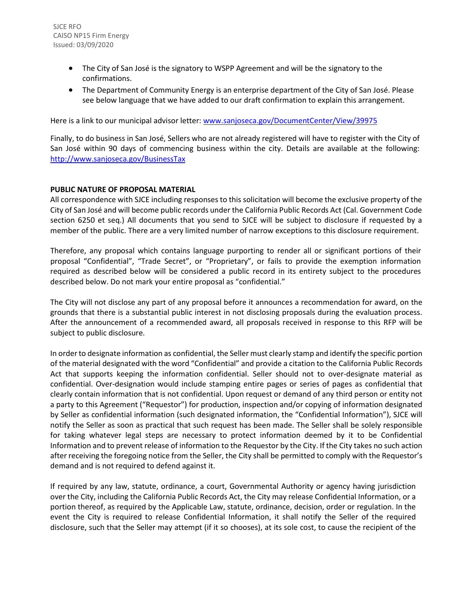- The City of San José is the signatory to WSPP Agreement and will be the signatory to the confirmations.
- The Department of Community Energy is an enterprise department of the City of San José. Please see below language that we have added to our draft confirmation to explain this arrangement.

Here is a link to our municipal advisor letter[: www.sanjoseca.gov/DocumentCenter/View/39975](http://www.sanjoseca.gov/DocumentCenter/View/39975)

Finally, to do business in San José, Sellers who are not already registered will have to register with the City of San José within 90 days of commencing business within the city. Details are available at the following: <http://www.sanjoseca.gov/BusinessTax>

## **PUBLIC NATURE OF PROPOSAL MATERIAL**

All correspondence with SJCE including responses to this solicitation will become the exclusive property of the City of San José and will become public records under the California Public Records Act (Cal. Government Code section 6250 et seq.) All documents that you send to SJCE will be subject to disclosure if requested by a member of the public. There are a very limited number of narrow exceptions to this disclosure requirement.

Therefore, any proposal which contains language purporting to render all or significant portions of their proposal "Confidential", "Trade Secret", or "Proprietary", or fails to provide the exemption information required as described below will be considered a public record in its entirety subject to the procedures described below. Do not mark your entire proposal as "confidential."

The City will not disclose any part of any proposal before it announces a recommendation for award, on the grounds that there is a substantial public interest in not disclosing proposals during the evaluation process. After the announcement of a recommended award, all proposals received in response to this RFP will be subject to public disclosure.

In order to designate information as confidential, the Seller must clearly stamp and identify the specific portion of the material designated with the word "Confidential" and provide a citation to the California Public Records Act that supports keeping the information confidential. Seller should not to over-designate material as confidential. Over-designation would include stamping entire pages or series of pages as confidential that clearly contain information that is not confidential. Upon request or demand of any third person or entity not a party to this Agreement ("Requestor") for production, inspection and/or copying of information designated by Seller as confidential information (such designated information, the "Confidential Information"), SJCE will notify the Seller as soon as practical that such request has been made. The Seller shall be solely responsible for taking whatever legal steps are necessary to protect information deemed by it to be Confidential Information and to prevent release of information to the Requestor by the City. If the City takes no such action after receiving the foregoing notice from the Seller, the City shall be permitted to comply with the Requestor's demand and is not required to defend against it.

If required by any law, statute, ordinance, a court, Governmental Authority or agency having jurisdiction over the City, including the California Public Records Act, the City may release Confidential Information, or a portion thereof, as required by the Applicable Law, statute, ordinance, decision, order or regulation. In the event the City is required to release Confidential Information, it shall notify the Seller of the required disclosure, such that the Seller may attempt (if it so chooses), at its sole cost, to cause the recipient of the